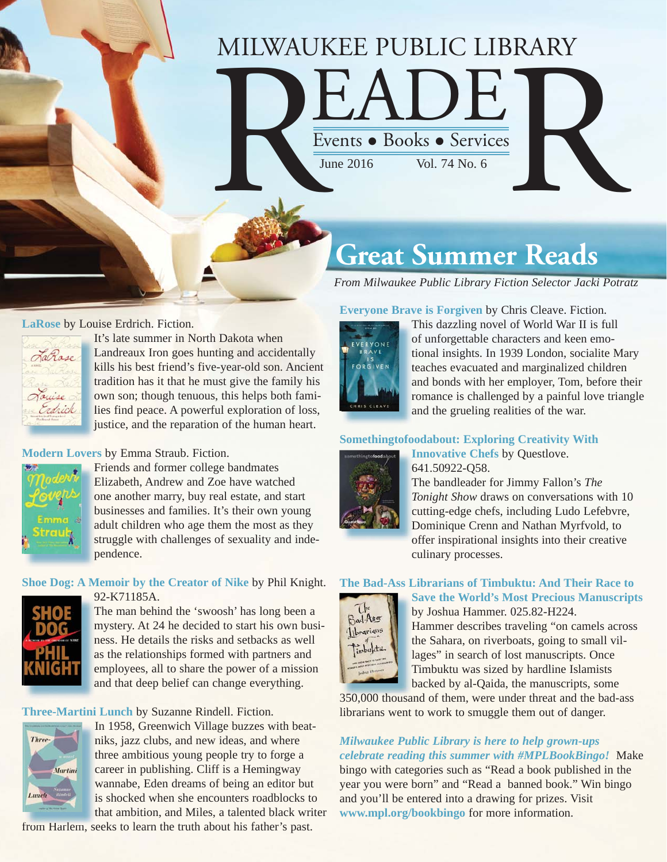# MILWAUKEE PUBLIC LIBRARY MILWAUKEE PUBLIC LIBRARY<br>
Events • Books • Services

## **Great Summer Reads**

*From Milwaukee Public Library Fiction Selector Jacki Potratz*

#### **LaRose** by Louise Erdrich. Fiction.



It's late summer in North Dakota when Landreaux Iron goes hunting and accidentally L [kills his best friend's five-year-old son. Ancient](https://encore.mcfls.org/iii/encore/record/C__Rb3900913)  k tradition has it that he must give the family his t own son; though tenuous, this helps both families find peace. A powerful exploration of loss, l justice, and the reparation of the human heart.

#### **Modern Lovers** by Emma Straub. Fiction.



Friends and former college bandmates F Elizabeth, Andrew and Zoe have watched E one another marry, buy real estate, and start businesses and families. It's their own young b adult children who age them the most as they a [struggle with challenges of sexuality and inde](https://encore.mcfls.org/iii/encore/record/C__Rb3888515)pendence. p

#### **Shoe Dog: A Memoir by the Creator of Nike** by Phil Knight. 92-K71185A. 9



The man behind the 'swoosh' has long been a [mystery. At 24 he decided to start his own busi-](https://encore.mcfls.org/iii/encore/record/C__Rb3898726)m ness. He details the risks and setbacks as well n as the relationships formed with partners and a employees, all to share the power of a mission and that deep belief can change everything. a

**Three-Martini Lunch** by Suzanne Rindell. Fiction.



In 1958, Greenwich Village buzzes with beatniks, jazz clubs, and new ideas, and where three ambitious young people try to forge a t career in publishing. Cliff is a Hemingway c wannabe, Eden dreams of being an editor but w is shocked when she encounters roadblocks to that ambition, and Miles, a talented black writer

[from Harlem, seeks to learn the truth about his father's past.](https://encore.mcfls.org/iii/encore/record/C__Rb3894400)

#### **Everyone Brave is Forgiven** by Chris Cleave. Fiction.



This dazzling novel of World War II is full T of unforgettable characters and keen emotional insights. In 1939 London, socialite Mary t teaches evacuated and marginalized children t and bonds with her employer, Tom, before their a romance is challenged by a painful love triangle and the grueling realities of the war. a

#### **[Somethingtofoodabout: Exploring Creativity With](https://encore.mcfls.org/iii/encore/record/C__Rb3899258)**

culinary processes.



**Innovative Chefs** by Questlove. **I** 641.50922-Q58. 6 The bandleader for Jimmy Fallon's The *Tonight Show* draws on conversations with 10 *T* cutting-edge chefs, including Ludo Lefebvre, Dominique Crenn and Nathan Myrfvold, to D offer inspirational insights into their creative o

#### **The Bad-Ass Librarians of Timbuktu: And Their Race to**



**Save the World's Most Precious Manuscripts** by Joshua Hammer. 025.82-H224. Hammer describes traveling "on camels across the Sahara, on riverboats, going to small vil-

lages" in search of lost manuscripts. Once Timbuktu was sized by hardline Islamists backed by al-Qaida, the manuscripts, some

350,000 thousand of them, were under threat and the bad-ass librarians went to work to smuggle them out of danger.

#### *Milwaukee Public Library is here to help grown-ups celebrate reading this summer with #MPLBookBingo!* Make

bingo with categories such as "Read a book published in the [year you were born" and "Read a banned book." Win bingo](http://www.mpl.org/special_events_and_programs/mpl_book_bingo/)  and you'll be entered into a drawing for prizes. Visit **www.mpl.org/bookbingo** for more information.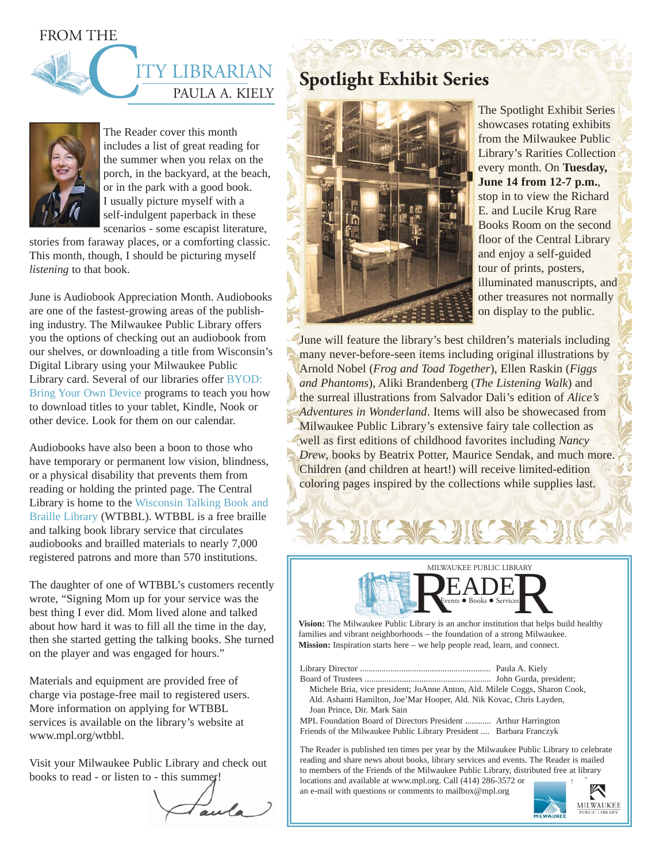FROM THE

## THE I PAULA A. KIELY Y LIBRARIAN



The Reader cover this month includes a list of great reading for the summer when you relax on the porch, in the backyard, at the beach, or in the park with a good book. I usually picture myself with a self-indulgent paperback in these scenarios - some escapist literature,

stories from faraway places, or a comforting classic. This month, though, I should be picturing myself *listening* to that book.

June is Audiobook Appreciation Month. Audiobooks are one of the fastest-growing areas of the publishing industry. The Milwaukee Public Library offers you the options of checking out an audiobook from our shelves, or downloading a title from Wisconsin's Digital Library using your Milwaukee Public Library card. Several of our libraries offer BYOD: Bring Your Own Device programs to teach you how to download titles to your tablet, Kindle, Nook or other device. Look for them on our calendar.

Audiobooks have also been a boon to those who have temporary or permanent low vision, blindness, or a physical disability that prevents them from reading or holding the printed page. The Central Library is home to the Wisconsin Talking Book and Braille Library (WTBBL). WTBBL is a free braille and talking book library service that circulates audiobooks and brailled materials to nearly 7,000 registered patrons and more than 570 institutions.

The daughter of one of WTBBL's customers recently wrote, "Signing Mom up for your service was the best thing I ever did. Mom lived alone and talked about how hard it was to fill all the time in the day, then she started getting the talking books. She turned on the player and was engaged for hours."

Materials and equipment are provided free of charge via postage-free mail to registered users. More information on applying for WTBBL services is available on the library's website at www.mpl.org/wtbbl.

Visit your Milwaukee Public Library and check out books to read - or listen to - this summer!

## **Spotlight Exhibit Series**



The Spotlight Exhibit Series showcases rotating exhibits from the Milwaukee Public Library's Rarities Collection every month. On **Tuesday, June 14 from 12-7 p.m.**, stop in to view the Richard E. and Lucile Krug Rare Books Room on the second floor of the Central Library and enjoy a self-guided tour of prints, posters, illuminated manuscripts, and other treasures not normally on display to the public.

June will feature the library's best children's materials including many never-before-seen items including original illustrations by Arnold Nobel (*Frog and Toad Together*), Ellen Raskin (*Figgs and Phantoms*), Aliki Brandenberg (*The Listening Walk*) and the surreal illustrations from Salvador Dali's edition of *Alice's Adventures in Wonderland*. Items will also be showecased from Milwaukee Public Library's extensive fairy tale collection as well as first editions of childhood favorites including *Nancy Drew*, books by Beatrix Potter, Maurice Sendak, and much more. Children (and children at heart!) will receive limited-edition coloring pages inspired by the collections while supplies last.

MILWAUKEE PUBLIC LIBRARY Vision: The Milwaukee Public Library is an anchor institution that helps build healthy Vision: The Milwaukee Public Library is an anchor institution that helps build healthy MILWAUK

families and vibrant neighborhoods – the foundation of a strong Milwaukee. **Mission:** Inspiration starts here – we help people read, learn, and connect.

| Michele Bria, vice president; JoAnne Anton, Ald. Milele Coggs, Sharon Cook, |  |
|-----------------------------------------------------------------------------|--|
| Ald. Ashanti Hamilton, Joe'Mar Hooper, Ald. Nik Kovac, Chris Layden,        |  |
| Joan Prince, Dir. Mark Sain                                                 |  |
| MPL Foundation Board of Directors President  Arthur Harrington              |  |
| Friends of the Milwaukee Public Library President  Barbara Franczyk         |  |

The Reader is published ten times per year by the Milwaukee Public Library to celebrate reading and share news about books, library services and events. The Reader is mailed to members of the Friends of the Milwaukee Public Library, distributed free at library locations and available at www.mpl.org. Call (414) 286-3572 or

an e-mail with questions or comments to mailbox@mpl.org

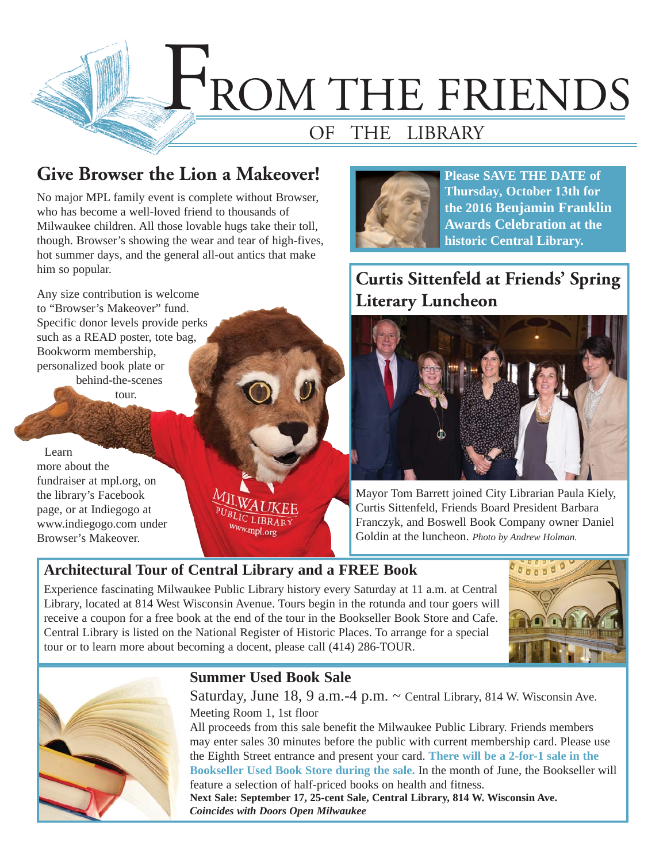

## **Give Browser the Lion a Makeover!**

No major MPL family event is complete without Browser, who has become a well-loved friend to thousands of Milwaukee children. All those lovable hugs take their toll, though. Browser's showing the wear and tear of high-fives, hot summer days, and the general all-out antics that make him so popular.

Any size contribution is welcome to "Browser's Makeover" fund. Specific donor levels provide perks such as a READ poster, tote bag, Bookworm membership, personalized book plate or

behind-the-scenes tour.

Learn more about the fundraiser at mpl.org, on the library's Facebook page, or at Indiegogo at www.indiegogo.com under Browser's Makeover.

PUBLIC LIBRAR ww.mpl.org



**Please SAVE THE DATE of Thursday, October 13th for the 2016 Benjamin Franklin Awards Celebration at the historic Central Library.** 

## **Curtis Sittenfeld at Friends' Spring Literary Luncheon**



Mayor Tom Barrett joined City Librarian Paula Kiely, Curtis Sittenfeld, Friends Board President Barbara Franczyk, and Boswell Book Company owner Daniel Goldin at the luncheon. *Photo by Andrew Holman.*

## **Architectural Tour of Central Library and a FREE Book**

Experience fascinating Milwaukee Public Library history every Saturday at 11 a.m. at Central Library, located at 814 West Wisconsin Avenue. Tours begin in the rotunda and tour goers will receive a coupon for a free book at the end of the tour in the Bookseller Book Store and Cafe. Central Library is listed on the National Register of Historic Places. To arrange for a special tour or to learn more about becoming a docent, please call (414) 286-TOUR.





#### **Summer Used Book Sale**

Saturday, June  $18, 9$  a.m. -4 p.m.  $\sim$  Central Library, 814 W. Wisconsin Ave. Meeting Room 1, 1st floor All proceeds from this sale benefit the Milwaukee Public Library. Friends members

may enter sales 30 minutes before the public with current membership card. Please use the Eighth Street entrance and present your card. **There will be a 2-for-1 sale in the Bookseller Used Book Store during the sale.** In the month of June, the Bookseller will feature a selection of half-priced books on health and fitness.

**Next Sale: September 17, 25-cent Sale, Central Library, 814 W. Wisconsin Ave.**  *Coincides with Doors Open Milwaukee*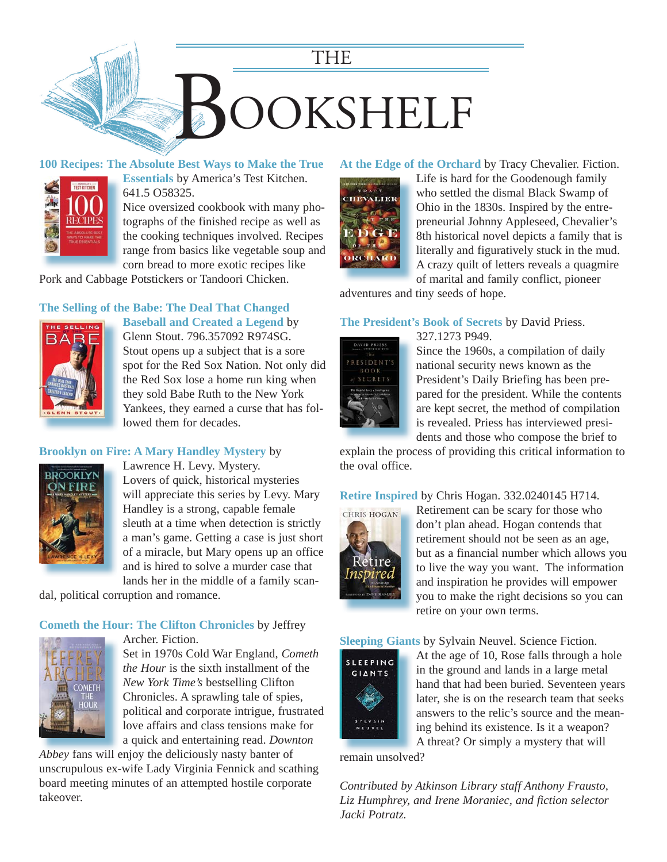

#### **[100 Recipes: The Absolute Best Ways to Make the True](https://encore.mcfls.org/iii/encore/record/C__Rb3856938)**



**Essentials** by America's Test Kitchen. 641.5 O58325.

Nice oversized cookbook with many photographs of the finished recipe as well as the cooking techniques involved. Recipes range from basics like vegetable soup and corn bread to more exotic recipes like

Pork and Cabbage Potstickers or Tandoori Chicken.

#### **[The Selling of the Babe: The Deal That Changed](https://encore.mcfls.org/iii/encore/record/C__Rb3886865)**



**Baseball and Created a Legend** by Glenn Stout. 796.357092 R974SG.

Stout opens up a subject that is a sore spot for the Red Sox Nation. Not only did the Red Sox lose a home run king when they sold Babe Ruth to the New York Yankees, they earned a curse that has followed them for decades.

#### **[Brooklyn on Fire: A Mary Handley Mystery](https://encore.mcfls.org/iii/encore/record/C__Rb3873424)** by



Lawrence H. Levy. Mystery. Lovers of quick, historical mysteries will appreciate this series by Levy. Mary Handley is a strong, capable female sleuth at a time when detection is strictly a man's game. Getting a case is just short of a miracle, but Mary opens up an office and is hired to solve a murder case that lands her in the middle of a family scan-

dal, political corruption and romance.

#### **Cometh the Hour: The Clifton Chronicles** by Jeffrey



Archer. Fiction.

Set in 1970s Cold War England, *Cometh the Hour* is the sixth installment of the *New York Time's* bestselling Clifton Chronicles. A sprawling tale of spies, political and corporate intrigue, frustrated love affairs and class tensions make for a quick and entertaining read. *Downton* 

Abbey fans will enjoy the deliciously nasty banter of [unscrupulous ex-wife Lady Virginia Fennick and scathing](https://encore.mcfls.org/iii/encore/record/C__Rb3859169)  board meeting minutes of an attempted hostile corporate takeover.

#### **At the Edge of the Orchard** by Tracy Chevalier. Fiction.



Life is hard for the Goodenough family who settled the dismal Black Swamp of Ohio in the 1830s. Inspired by the entrepreneurial Johnny Appleseed, Chevalier's [8th historical novel depicts a family that is](https://encore.mcfls.org/iii/encore/record/C__Rb3880203)  literally and figuratively stuck in the mud. A crazy quilt of letters reveals a quagmire

of marital and family conflict, pioneer adventures and tiny seeds of hope.

#### **The President's Book of Secrets** by David Priess.

327.1273 P949.



Since the 1960s, a compilation of daily national security news known as the President's Daily Briefing has been prepared for the president. While the contents are kept secret, the method of compilation is revealed. Priess has interviewed presidents and those who compose the brief to

[explain the process of providing this critical information to](https://encore.mcfls.org/iii/encore/record/C__Rb3886423)  the oval office.

#### **Retire Inspired** by Chris Hogan. 332.0240145 H714.



Retirement can be scary for those who don't plan ahead. Hogan contends that retirement should not be seen as an age, [but as a financial number which allows you](https://encore.mcfls.org/iii/encore/record/C__Rb3880014)  to live the way you want. The information and inspiration he provides will empower you to make the right decisions so you can retire on your own terms.

#### **Sleeping Giants** by Sylvain Neuvel. Science Fiction.



At the age of 10, Rose falls through a hole in the ground and lands in a large metal [hand that had been buried. Seventeen years](https://encore.mcfls.org/iii/encore/record/C__Rb3899244)  later, she is on the research team that seeks answers to the relic's source and the meaning behind its existence. Is it a weapon?

A threat? Or simply a mystery that will

remain unsolved?

*Contributed by Atkinson Library staff Anthony Frausto, Liz Humphrey, and Irene Moraniec, and fiction selector Jacki Potratz.*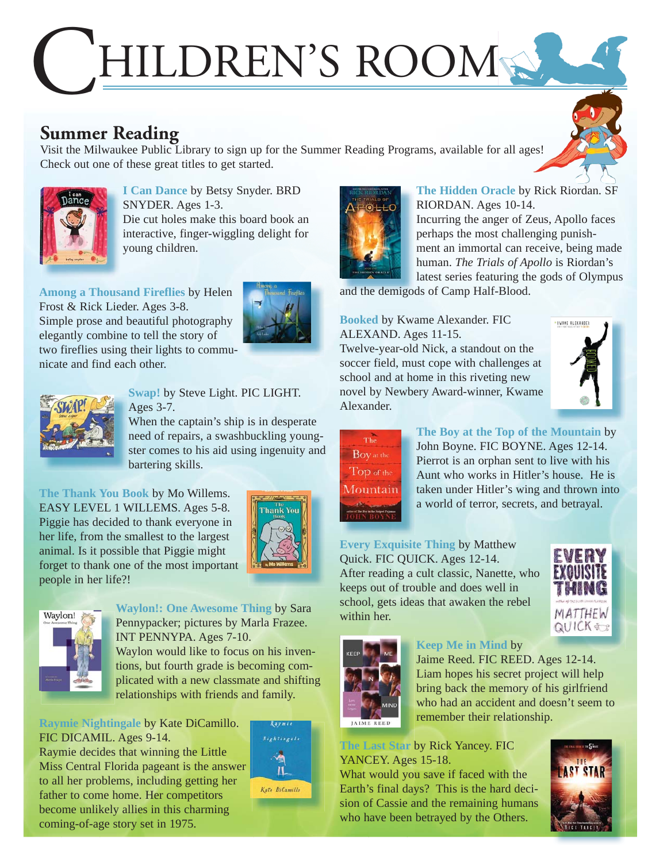## HILDREN'S ROOM

## **Summer Reading**

Visit the Milwaukee Public Library to sign up for the Summer Reading Programs, available for all ages! Check out one of these great titles to get started.



**I Can Dance** by Betsy Snyder. BRD SNYDER. Ages 1-3. [Die cut holes make this board book an](https://encore.mcfls.org/iii/encore/record/C__Rb3876978)  interactive, finger-wiggling delight for young children.

**Among a Thousand Fireflies** by Helen Frost & Rick Lieder. Ages 3-8. Simple prose and beautiful photography elegantly combine to tell the story of [two fireflies using their lights to commu](https://encore.mcfls.org/iii/encore/record/C__Rb3890839)nicate and find each other.





#### **Swap!** by Steve Light. PIC LIGHT. Ages 3-7.

When the captain's ship is in desperate need of repairs, a swashbuckling young[ster comes to his aid using ingenuity and](https://encore.mcfls.org/iii/encore/record/C__Rb3882563)  bartering skills.

**The Thank You Book** by Mo Willems. EASY LEVEL 1 WILLEMS. Ages 5-8. Piggie has decided to thank everyone in her life, from the smallest to the largest animal. Is it possible that Piggie might [forget to thank one of the most important](https://encore.mcfls.org/iii/encore/record/C__Rb3900834)  people in her life?!





**Waylon!: One Awesome Thing** by Sara Pennypacker; pictures by Marla Frazee. INT PENNYPA. Ages 7-10. Waylon would like to focus on his inven-

tions, but fourth grade is becoming com[plicated with a new classmate and shifting](https://encore.mcfls.org/iii/encore/record/C__Rb3894314)  relationships with friends and family.

**Raymie Nightingale** by Kate DiCamillo. FIC DICAMIL. Ages 9-14. Raymie decides that winning the Little

[Miss Central Florida pageant is the answer](https://encore.mcfls.org/iii/encore/record/C__Rb3887227)  to all her problems, including getting her father to come home. Her competitors become unlikely allies in this charming

coming-of-age story set in 1975.



Kate DiCamillo



**The Hidden Oracle** by Rick Riordan. SF RIORDAN. Ages 10-14. Incurring the anger of Zeus, Apollo faces perhaps the most challenging punishment an immortal can receive, being made human. *The Trials of Apollo* is Riordan's [latest series featuring the gods of Olympus](https://encore.mcfls.org/iii/encore/record/C__Rb3882446) 

and the demigods of Camp Half-Blood. and the demigo

#### **Booked** by Kwame Alexander. FIC ALEXAND. Ages 11-15.

Twelve-year-old Nick, a standout on the soccer field, must cope with challenges at school and at home in this riveting new [novel by Newbery Award-winner, Kwame](https://encore.mcfls.org/iii/encore/record/C__Rb3894325)  Alexander.



## The Boy at the Top of the Mountain

**The Boy at the Top of the Mountain** by John Boyne. FIC BOYNE. Ages 12-14. Pierrot is an orphan sent to live with his Aunt who works in Hitler's house. He is [taken under Hitler's wing and thrown into](https://encore.mcfls.org/iii/encore/record/C__Rb3894408)  a world of terror, secrets, and betrayal.

#### **Every Exquisite Thing** by Matthew

Quick. FIC QUICK. Ages 12-14. [After reading a cult classic, Nanette, who](https://encore.mcfls.org/iii/encore/record/C__Rb3892571)  keeps out of trouble and does well in school, gets ideas that awaken the rebel within her.





#### **Keep Me in Mind** by

Jaime Reed. FIC REED. Ages 12-14. Liam hopes his secret project will help bring back the memory of his girlfriend [who had an accident and doesn't seem to](https://encore.mcfls.org/iii/encore/record/C__Rb3899496)  remember their relationship.

#### **The Last Star** by Rick Yancey. FIC YANCEY. Ages 15-18.

What would you save if faced with the Earth's final days? This is the hard deci[sion of Cassie and the remaining humans](https://encore.mcfls.org/iii/encore/record/C__Rb3887353)  who have been betrayed by the Others.